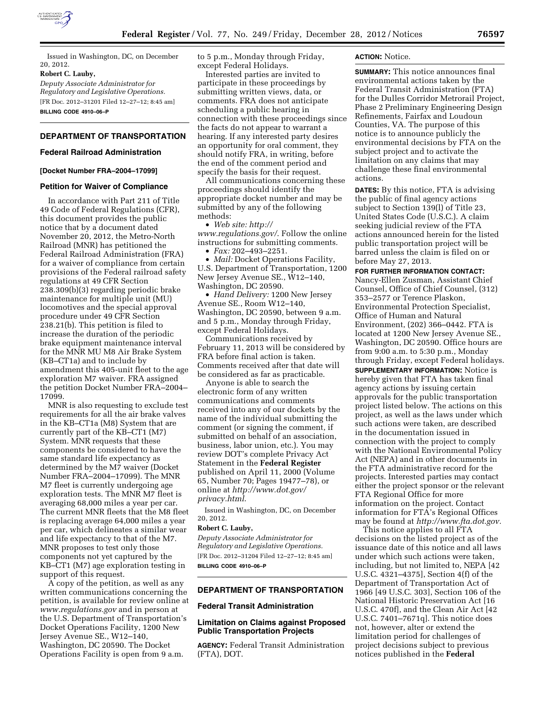

Issued in Washington, DC, on December 20, 2012.

### **Robert C. Lauby,**

*Deputy Associate Administrator for Regulatory and Legislative Operations.*  [FR Doc. 2012–31201 Filed 12–27–12; 8:45 am] **BILLING CODE 4910–06–P** 

# **DEPARTMENT OF TRANSPORTATION**

# **Federal Railroad Administration**

#### **[Docket Number FRA–2004–17099]**

#### **Petition for Waiver of Compliance**

In accordance with Part 211 of Title 49 Code of Federal Regulations (CFR), this document provides the public notice that by a document dated November 20, 2012, the Metro-North Railroad (MNR) has petitioned the Federal Railroad Administration (FRA) for a waiver of compliance from certain provisions of the Federal railroad safety regulations at 49 CFR Section 238.309(b)(3) regarding periodic brake maintenance for multiple unit (MU) locomotives and the special approval procedure under 49 CFR Section 238.21(b). This petition is filed to increase the duration of the periodic brake equipment maintenance interval for the MNR MU M8 Air Brake System (KB–CT1a) and to include by amendment this 405-unit fleet to the age exploration M7 waiver. FRA assigned the petition Docket Number FRA–2004– 17099.

MNR is also requesting to exclude test requirements for all the air brake valves in the KB–CT1a (M8) System that are currently part of the KB–CT1 (M7) System. MNR requests that these components be considered to have the same standard life expectancy as determined by the M7 waiver (Docket Number FRA–2004–17099). The MNR M7 fleet is currently undergoing age exploration tests. The MNR M7 fleet is averaging 68,000 miles a year per car. The current MNR fleets that the M8 fleet is replacing average 64,000 miles a year per car, which delineates a similar wear and life expectancy to that of the M7. MNR proposes to test only those components not yet captured by the KB–CT1 (M7) age exploration testing in support of this request.

A copy of the petition, as well as any written communications concerning the petition, is available for review online at *www.regulations.gov* and in person at the U.S. Department of Transportation's Docket Operations Facility, 1200 New Jersey Avenue SE., W12–140, Washington, DC 20590. The Docket Operations Facility is open from 9 a.m.

to 5 p.m., Monday through Friday, except Federal Holidays.

Interested parties are invited to participate in these proceedings by submitting written views, data, or comments. FRA does not anticipate scheduling a public hearing in connection with these proceedings since the facts do not appear to warrant a hearing. If any interested party desires an opportunity for oral comment, they should notify FRA, in writing, before the end of the comment period and specify the basis for their request.

All communications concerning these proceedings should identify the appropriate docket number and may be submitted by any of the following methods:

• *Web site: http://* 

*www.regulations.gov/*. Follow the online instructions for submitting comments. • *Fax:* 202–493–2251.

• *Mail:* Docket Operations Facility, U.S. Department of Transportation, 1200 New Jersey Avenue SE., W12–140, Washington, DC 20590.

• *Hand Delivery:* 1200 New Jersey Avenue SE., Room W12–140, Washington, DC 20590, between 9 a.m. and 5 p.m., Monday through Friday, except Federal Holidays.

Communications received by February 11, 2013 will be considered by FRA before final action is taken. Comments received after that date will be considered as far as practicable.

Anyone is able to search the electronic form of any written communications and comments received into any of our dockets by the name of the individual submitting the comment (or signing the comment, if submitted on behalf of an association, business, labor union, etc.). You may review DOT's complete Privacy Act Statement in the **Federal Register**  published on April 11, 2000 (Volume 65, Number 70; Pages 19477–78), or online at *http://www.dot.gov/ privacy.html*.

Issued in Washington, DC, on December 20, 2012.

# **Robert C. Lauby,**

*Deputy Associate Administrator for Regulatory and Legislative Operations.*  [FR Doc. 2012–31204 Filed 12–27–12; 8:45 am] **BILLING CODE 4910–06–P** 

### **DEPARTMENT OF TRANSPORTATION**

### **Federal Transit Administration**

## **Limitation on Claims against Proposed Public Transportation Projects**

**AGENCY:** Federal Transit Administration (FTA), DOT.

### **ACTION:** Notice.

**SUMMARY:** This notice announces final environmental actions taken by the Federal Transit Administration (FTA) for the Dulles Corridor Metrorail Project, Phase 2 Preliminary Engineering Design Refinements, Fairfax and Loudoun Counties, VA. The purpose of this notice is to announce publicly the environmental decisions by FTA on the subject project and to activate the limitation on any claims that may challenge these final environmental actions.

**DATES:** By this notice, FTA is advising the public of final agency actions subject to Section 139(l) of Title 23, United States Code (U.S.C.). A claim seeking judicial review of the FTA actions announced herein for the listed public transportation project will be barred unless the claim is filed on or before May 27, 2013.

#### **FOR FURTHER INFORMATION CONTACT:**

Nancy-Ellen Zusman, Assistant Chief Counsel, Office of Chief Counsel, (312) 353–2577 or Terence Plaskon, Environmental Protection Specialist, Office of Human and Natural Environment, (202) 366–0442. FTA is located at 1200 New Jersey Avenue SE., Washington, DC 20590. Office hours are from 9:00 a.m. to 5:30 p.m., Monday through Friday, except Federal holidays. **SUPPLEMENTARY INFORMATION:** Notice is hereby given that FTA has taken final agency actions by issuing certain approvals for the public transportation project listed below. The actions on this project, as well as the laws under which such actions were taken, are described in the documentation issued in connection with the project to comply with the National Environmental Policy Act (NEPA) and in other documents in the FTA administrative record for the projects. Interested parties may contact either the project sponsor or the relevant FTA Regional Office for more information on the project. Contact information for FTA's Regional Offices may be found at *http://www.fta.dot.gov.* 

This notice applies to all FTA decisions on the listed project as of the issuance date of this notice and all laws under which such actions were taken, including, but not limited to, NEPA [42 U.S.C. 4321–4375], Section 4(f) of the Department of Transportation Act of 1966 [49 U.S.C. 303], Section 106 of the National Historic Preservation Act [16 U.S.C. 470f], and the Clean Air Act [42 U.S.C. 7401–7671q]. This notice does not, however, alter or extend the limitation period for challenges of project decisions subject to previous notices published in the **Federal**